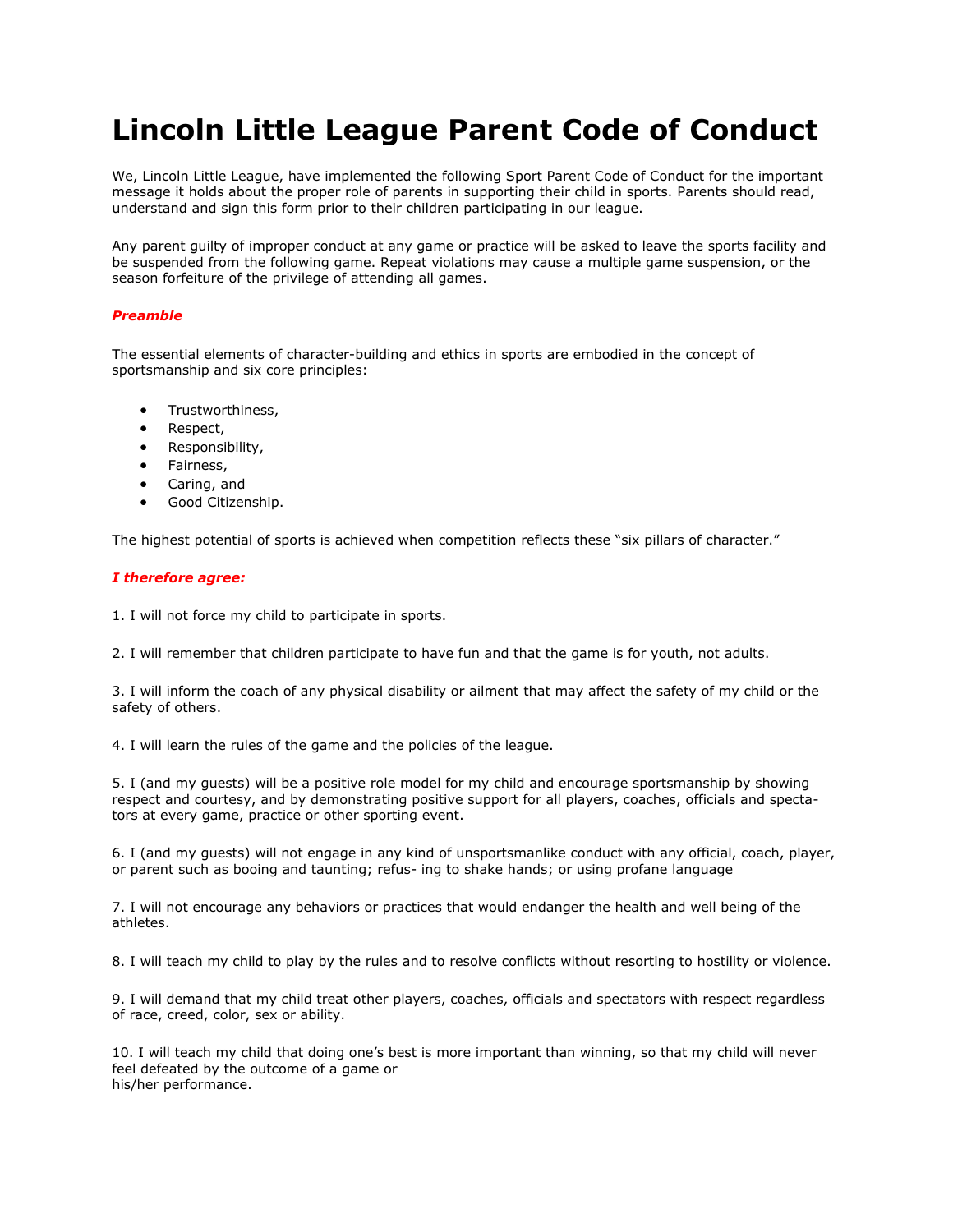## **Lincoln Little League Parent Code of Conduct**

We, Lincoln Little League, have implemented the following Sport Parent Code of Conduct for the important message it holds about the proper role of parents in supporting their child in sports. Parents should read, understand and sign this form prior to their children participating in our league.

Any parent guilty of improper conduct at any game or practice will be asked to leave the sports facility and be suspended from the following game. Repeat violations may cause a multiple game suspension, or the season forfeiture of the privilege of attending all games.

## *Preamble*

The essential elements of character-building and ethics in sports are embodied in the concept of sportsmanship and six core principles:

- Trustworthiness,
- Respect,
- Responsibility,
- Fairness,
- Caring, and
- Good Citizenship.

The highest potential of sports is achieved when competition reflects these "six pillars of character."

## *I therefore agree:*

1. I will not force my child to participate in sports.

2. I will remember that children participate to have fun and that the game is for youth, not adults.

3. I will inform the coach of any physical disability or ailment that may affect the safety of my child or the safety of others.

4. I will learn the rules of the game and the policies of the league.

5. I (and my guests) will be a positive role model for my child and encourage sportsmanship by showing respect and courtesy, and by demonstrating positive support for all players, coaches, officials and spectators at every game, practice or other sporting event.

6. I (and my guests) will not engage in any kind of unsportsmanlike conduct with any official, coach, player, or parent such as booing and taunting; refus- ing to shake hands; or using profane language

7. I will not encourage any behaviors or practices that would endanger the health and well being of the athletes.

8. I will teach my child to play by the rules and to resolve conflicts without resorting to hostility or violence.

9. I will demand that my child treat other players, coaches, officials and spectators with respect regardless of race, creed, color, sex or ability.

10. I will teach my child that doing one's best is more important than winning, so that my child will never feel defeated by the outcome of a game or his/her performance.